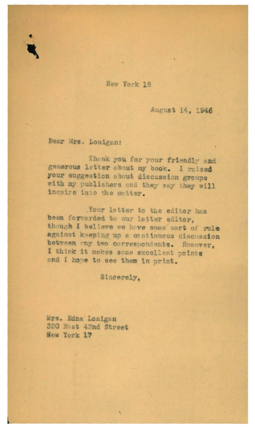

August 14, 1946

Dear Mrs. Lonigan:

Thenk you for your friendly and generous letter about my book. I raised your suggestion about discussion groups with my publishers and they say they will inquire into the matter.

Your letter to the editor has been forwarded to our letter editor, though I believe we have some sort of rule against keeping up a continuous discussion between any two correspondents. However, I think it makes some excellent points and I hove to see them in print.

Sincerely.

Mrs. Edna Lonigan 320 East 42nd Street New York 17